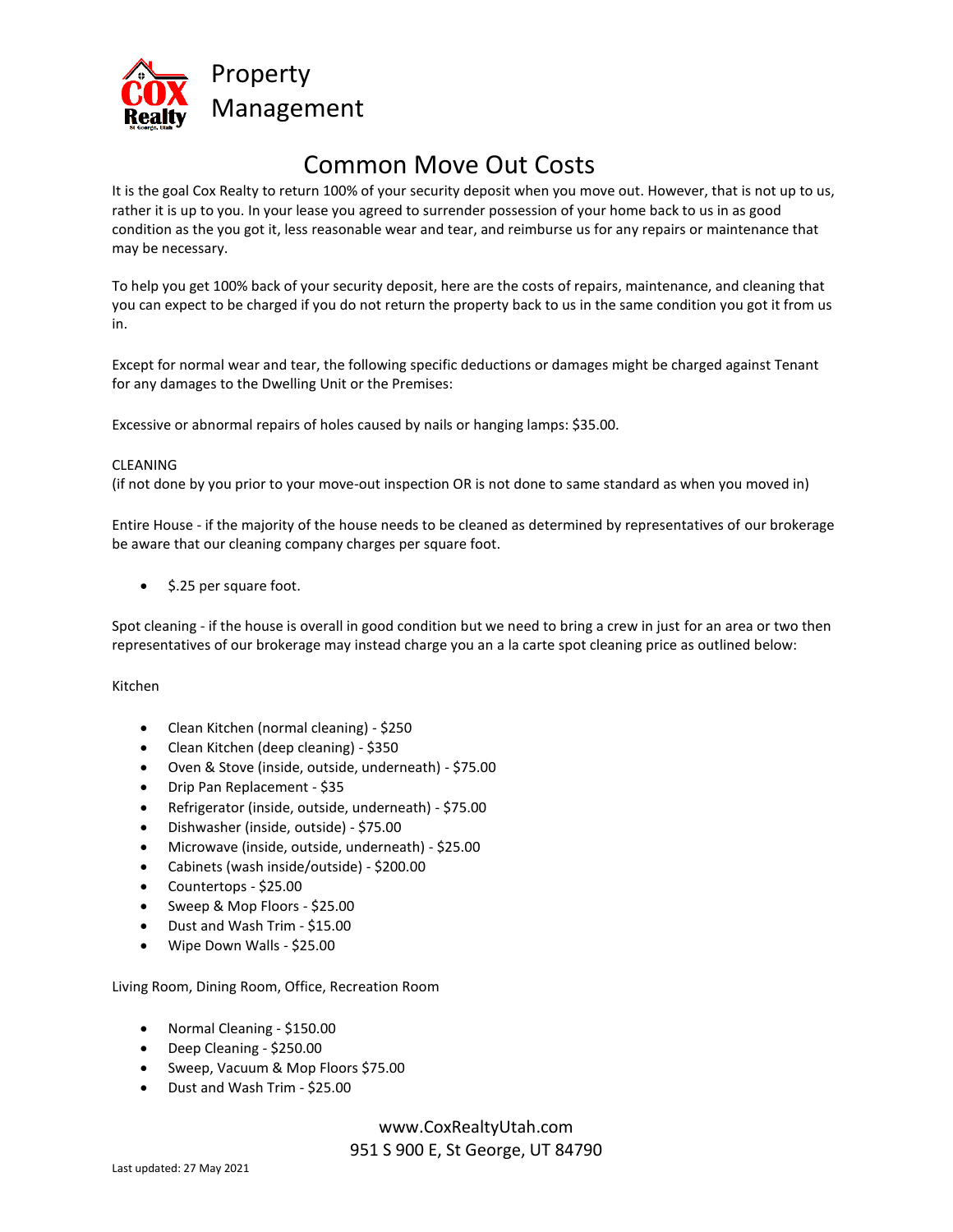

# Common Move Out Costs

It is the goal Cox Realty to return 100% of your security deposit when you move out. However, that is not up to us, rather it is up to you. In your lease you agreed to surrender possession of your home back to us in as good condition as the you got it, less reasonable wear and tear, and reimburse us for any repairs or maintenance that may be necessary.

To help you get 100% back of your security deposit, here are the costs of repairs, maintenance, and cleaning that you can expect to be charged if you do not return the property back to us in the same condition you got it from us in.

Except for normal wear and tear, the following specific deductions or damages might be charged against Tenant for any damages to the Dwelling Unit or the Premises:

Excessive or abnormal repairs of holes caused by nails or hanging lamps: \$35.00.

### CLEANING

(if not done by you prior to your move-out inspection OR is not done to same standard as when you moved in)

Entire House - if the majority of the house needs to be cleaned as determined by representatives of our brokerage be aware that our cleaning company charges per square foot.

• \$.25 per square foot.

Spot cleaning - if the house is overall in good condition but we need to bring a crew in just for an area or two then representatives of our brokerage may instead charge you an a la carte spot cleaning price as outlined below:

### Kitchen

- Clean Kitchen (normal cleaning) \$250
- Clean Kitchen (deep cleaning) \$350
- Oven & Stove (inside, outside, underneath) \$75.00
- Drip Pan Replacement \$35
- Refrigerator (inside, outside, underneath) \$75.00
- Dishwasher (inside, outside) \$75.00
- Microwave (inside, outside, underneath) \$25.00
- Cabinets (wash inside/outside) \$200.00
- Countertops \$25.00
- Sweep & Mop Floors \$25.00
- Dust and Wash Trim \$15.00
- Wipe Down Walls \$25.00

### Living Room, Dining Room, Office, Recreation Room

- Normal Cleaning \$150.00
- Deep Cleaning \$250.00
- Sweep, Vacuum & Mop Floors \$75.00
- Dust and Wash Trim \$25.00

www.CoxRealtyUtah.com 951 S 900 E, St George, UT 84790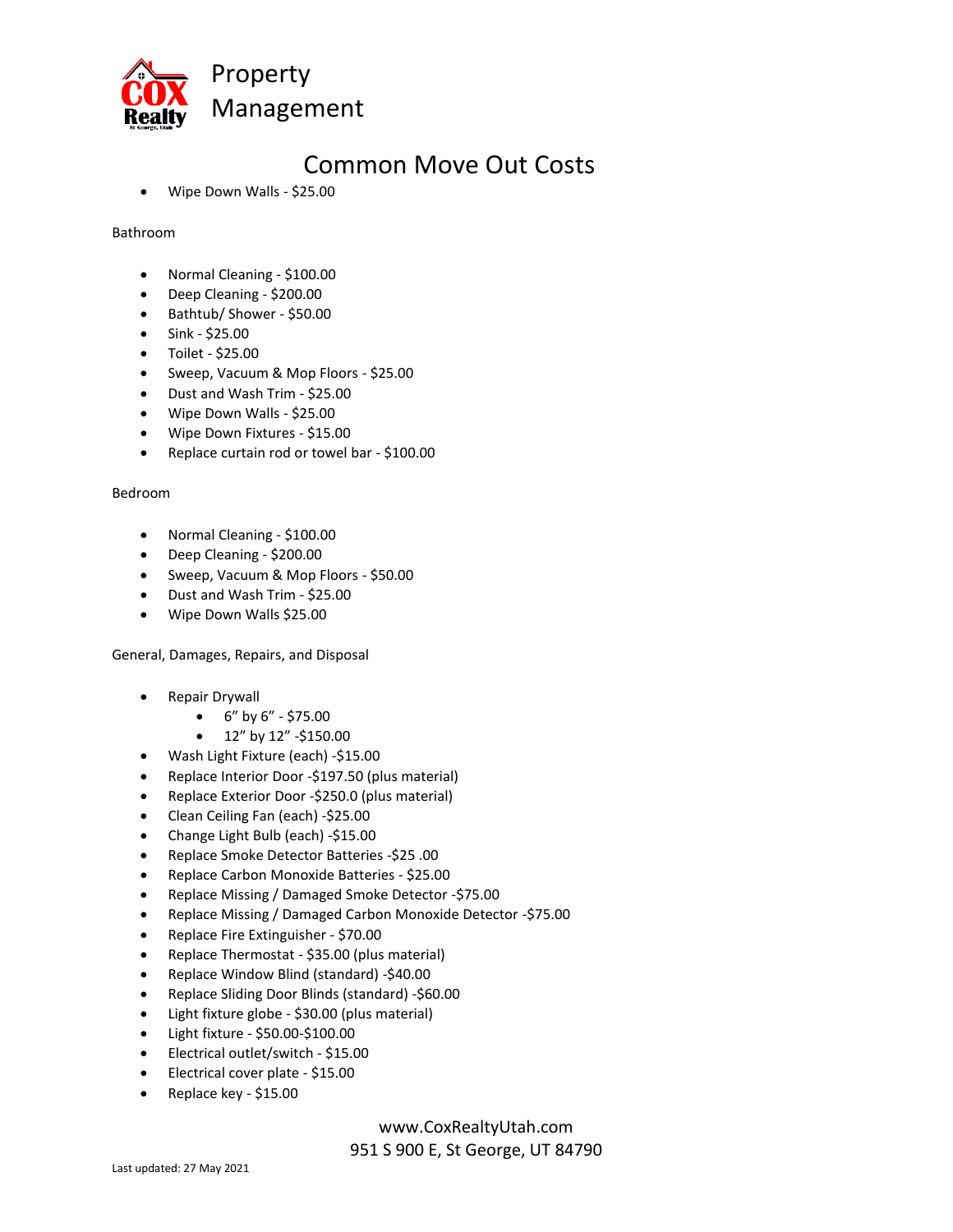

### Common Move Out Costs

• Wipe Down Walls - \$25.00

Bathroom

- Normal Cleaning \$100.00
- Deep Cleaning \$200.00
- Bathtub/ Shower \$50.00
- Sink \$25.00
- Toilet \$25.00
- Sweep, Vacuum & Mop Floors \$25.00
- Dust and Wash Trim \$25.00
- Wipe Down Walls \$25.00
- Wipe Down Fixtures \$15.00
- Replace curtain rod or towel bar \$100.00

### Bedroom

- Normal Cleaning \$100.00
- Deep Cleaning \$200.00
- Sweep, Vacuum & Mop Floors \$50.00
- Dust and Wash Trim \$25.00
- Wipe Down Walls \$25.00

General, Damages, Repairs, and Disposal

- Repair Drywall
	- $6"$  by  $6"$  \$75.00
	- $12''$  by  $12''$  -\$150.00
- Wash Light Fixture (each) -\$15.00
- Replace Interior Door -\$197.50 (plus material)
- Replace Exterior Door -\$250.0 (plus material)
- Clean Ceiling Fan (each) -\$25.00
- Change Light Bulb (each) -\$15.00
- Replace Smoke Detector Batteries -\$25 .00
- Replace Carbon Monoxide Batteries \$25.00
- Replace Missing / Damaged Smoke Detector -\$75.00
- Replace Missing / Damaged Carbon Monoxide Detector -\$75.00
- Replace Fire Extinguisher \$70.00
- Replace Thermostat \$35.00 (plus material)
- Replace Window Blind (standard) -\$40.00
- Replace Sliding Door Blinds (standard) -\$60.00
- Light fixture globe \$30.00 (plus material)
- Light fixture \$50.00-\$100.00
- Electrical outlet/switch \$15.00
- Electrical cover plate \$15.00
- Replace key \$15.00

www.CoxRealtyUtah.com

951 S 900 E, St George, UT 84790